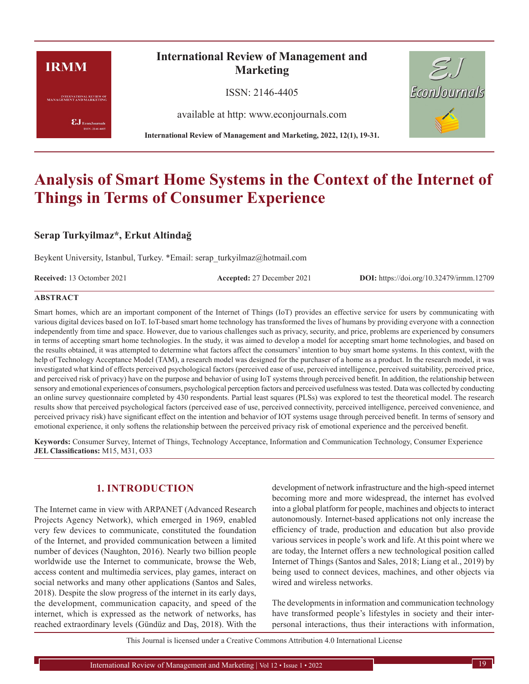# **IRMM**

**INTERNATIONAL REVIEW OF**<br>MANAGEMENT AND MARKETING

 $\pmb{\text{EJ}}$ EconJournals SSN: 2146-4405

# **International Review of Management and Marketing**

ISSN: 2146-4405

available at http: www.econjournals.com

**International Review of Management and Marketing, 2022, 12(1), 19-31.**



# **Analysis of Smart Home Systems in the Context of the Internet of Things in Terms of Consumer Experience**

# **Serap Turkyilmaz\*, Erkut Altindağ**

Beykent University, Istanbul, Turkey. \*Email: serap\_turkyilmaz@hotmail.com

**Received:** 13 Octomber 2021 **Accepted:** 27 December 2021 **DOI:** https://doi.org/10.32479/irmm.12709

#### **ABSTRACT**

Smart homes, which are an important component of the Internet of Things (IoT) provides an effective service for users by communicating with various digital devices based on IoT. IoT-based smart home technology has transformed the lives of humans by providing everyone with a connection independently from time and space. However, due to various challenges such as privacy, security, and price, problems are experienced by consumers in terms of accepting smart home technologies. In the study, it was aimed to develop a model for accepting smart home technologies, and based on the results obtained, it was attempted to determine what factors affect the consumers' intention to buy smart home systems. In this context, with the help of Technology Acceptance Model (TAM), a research model was designed for the purchaser of a home as a product. In the research model, it was investigated what kind of effects perceived psychological factors (perceived ease of use, perceived intelligence, perceived suitability, perceived price, and perceived risk of privacy) have on the purpose and behavior of using IoT systems through perceived benefit. In addition, the relationship between sensory and emotional experiences of consumers, psychological perception factors and perceived usefulness was tested. Data was collected by conducting an online survey questionnaire completed by 430 respondents. Partial least squares (PLSs) was explored to test the theoretical model. The research results show that perceived psychological factors (perceived ease of use, perceived connectivity, perceived intelligence, perceived convenience, and perceived privacy risk) have significant effect on the intention and behavior of IOT systems usage through perceived benefit. In terms of sensory and emotional experience, it only softens the relationship between the perceived privacy risk of emotional experience and the perceived benefit.

**Keywords:** Consumer Survey, Internet of Things, Technology Acceptance, Information and Communication Technology, Consumer Experience **JEL Classifications:** M15, M31, O33

# **1. INTRODUCTION**

The Internet came in view with ARPANET (Advanced Research Projects Agency Network), which emerged in 1969, enabled very few devices to communicate, constituted the foundation of the Internet, and provided communication between a limited number of devices (Naughton, 2016). Nearly two billion people worldwide use the Internet to communicate, browse the Web, access content and multimedia services, play games, interact on social networks and many other applications (Santos and Sales, 2018). Despite the slow progress of the internet in its early days, the development, communication capacity, and speed of the internet, which is expressed as the network of networks, has reached extraordinary levels (Gündüz and Daş, 2018). With the

development of network infrastructure and the high-speed internet becoming more and more widespread, the internet has evolved into a global platform for people, machines and objects to interact autonomously. Internet-based applications not only increase the efficiency of trade, production and education but also provide various services in people's work and life. At this point where we are today, the Internet offers a new technological position called Internet of Things (Santos and Sales, 2018; Liang et al., 2019) by being used to connect devices, machines, and other objects via wired and wireless networks.

The developments in information and communication technology have transformed people's lifestyles in society and their interpersonal interactions, thus their interactions with information,

This Journal is licensed under a Creative Commons Attribution 4.0 International License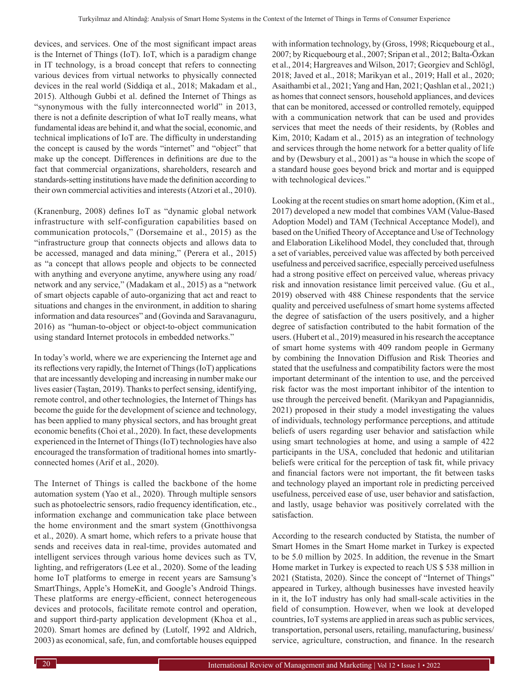devices, and services. One of the most significant impact areas is the Internet of Things (IoT). IoT, which is a paradigm change in IT technology, is a broad concept that refers to connecting various devices from virtual networks to physically connected devices in the real world (Siddiqa et al., 2018; Makadam et al., 2015). Although Gubbi et al. defined the Internet of Things as "synonymous with the fully interconnected world" in 2013, there is not a definite description of what IoT really means, what fundamental ideas are behind it, and what the social, economic, and technical implications of IoT are. The difficulty in understanding the concept is caused by the words "internet" and "object" that make up the concept. Differences in definitions are due to the fact that commercial organizations, shareholders, research and standards-setting institutions have made the definition according to their own commercial activities and interests (Atzori et al., 2010).

(Kranenburg, 2008) defines IoT as "dynamic global network infrastructure with self-configuration capabilities based on communication protocols," (Dorsemaine et al., 2015) as the "infrastructure group that connects objects and allows data to be accessed, managed and data mining," (Perera et al., 2015) as "a concept that allows people and objects to be connected with anything and everyone anytime, anywhere using any road/ network and any service," (Madakam et al., 2015) as a "network of smart objects capable of auto-organizing that act and react to situations and changes in the environment, in addition to sharing information and data resources" and (Govinda and Saravanaguru, 2016) as "human-to-object or object-to-object communication using standard Internet protocols in embedded networks."

In today's world, where we are experiencing the Internet age and its reflections very rapidly, the Internet of Things (IoT) applications that are incessantly developing and increasing in number make our lives easier (Taştan, 2019). Thanks to perfect sensing, identifying, remote control, and other technologies, the Internet of Things has become the guide for the development of science and technology, has been applied to many physical sectors, and has brought great economic benefits (Choi et al., 2020). In fact, these developments experienced in the Internet of Things (IoT) technologies have also encouraged the transformation of traditional homes into smartlyconnected homes (Arif et al., 2020).

The Internet of Things is called the backbone of the home automation system (Yao et al., 2020). Through multiple sensors such as photoelectric sensors, radio frequency identification, etc., information exchange and communication take place between the home environment and the smart system (Gnotthivongsa et al., 2020). A smart home, which refers to a private house that sends and receives data in real-time, provides automated and intelligent services through various home devices such as TV, lighting, and refrigerators (Lee et al., 2020). Some of the leading home IoT platforms to emerge in recent years are Samsung's SmartThings, Apple's HomeKit, and Google's Android Things. These platforms are energy-efficient, connect heterogeneous devices and protocols, facilitate remote control and operation, and support third-party application development (Khoa et al., 2020). Smart homes are defined by (Lutolf, 1992 and Aldrich, 2003) as economical, safe, fun, and comfortable houses equipped with information technology, by (Gross, 1998; Ricquebourg et al., 2007; by Ricquebourg et al., 2007; Sripan et al., 2012; Balta-Özkan et al., 2014; Hargreaves and Wilson, 2017; Georgiev and Schlögl, 2018; Javed et al., 2018; Marikyan et al., 2019; Hall et al., 2020; Asaithambi et al., 2021; Yang and Han, 2021; Qashlan et al., 2021;) as homes that connect sensors, household appliances, and devices that can be monitored, accessed or controlled remotely, equipped with a communication network that can be used and provides services that meet the needs of their residents, by (Robles and Kim, 2010; Kadam et al., 2015) as an integration of technology and services through the home network for a better quality of life and by (Dewsbury et al., 2001) as "a house in which the scope of a standard house goes beyond brick and mortar and is equipped with technological devices."

Looking at the recent studies on smart home adoption, (Kim et al., 2017) developed a new model that combines VAM (Value-Based Adoption Model) and TAM (Technical Acceptance Model), and based on the Unified Theory of Acceptance and Use of Technology and Elaboration Likelihood Model, they concluded that, through a set of variables, perceived value was affected by both perceived usefulness and perceived sacrifice, especially perceived usefulness had a strong positive effect on perceived value, whereas privacy risk and innovation resistance limit perceived value. (Gu et al., 2019) observed with 488 Chinese respondents that the service quality and perceived usefulness of smart home systems affected the degree of satisfaction of the users positively, and a higher degree of satisfaction contributed to the habit formation of the users. (Hubert et al., 2019) measured in his research the acceptance of smart home systems with 409 random people in Germany by combining the Innovation Diffusion and Risk Theories and stated that the usefulness and compatibility factors were the most important determinant of the intention to use, and the perceived risk factor was the most important inhibitor of the intention to use through the perceived benefit. (Marikyan and Papagiannidis, 2021) proposed in their study a model investigating the values of individuals, technology performance perceptions, and attitude beliefs of users regarding user behavior and satisfaction while using smart technologies at home, and using a sample of 422 participants in the USA, concluded that hedonic and utilitarian beliefs were critical for the perception of task fit, while privacy and financial factors were not important, the fit between tasks and technology played an important role in predicting perceived usefulness, perceived ease of use, user behavior and satisfaction, and lastly, usage behavior was positively correlated with the satisfaction.

According to the research conducted by Statista, the number of Smart Homes in the Smart Home market in Turkey is expected to be 5.0 million by 2025. In addition, the revenue in the Smart Home market in Turkey is expected to reach US \$ 538 million in 2021 (Statista, 2020). Since the concept of "Internet of Things" appeared in Turkey, although businesses have invested heavily in it, the IoT industry has only had small-scale activities in the field of consumption. However, when we look at developed countries, IoT systems are applied in areas such as public services, transportation, personal users, retailing, manufacturing, business/ service, agriculture, construction, and finance. In the research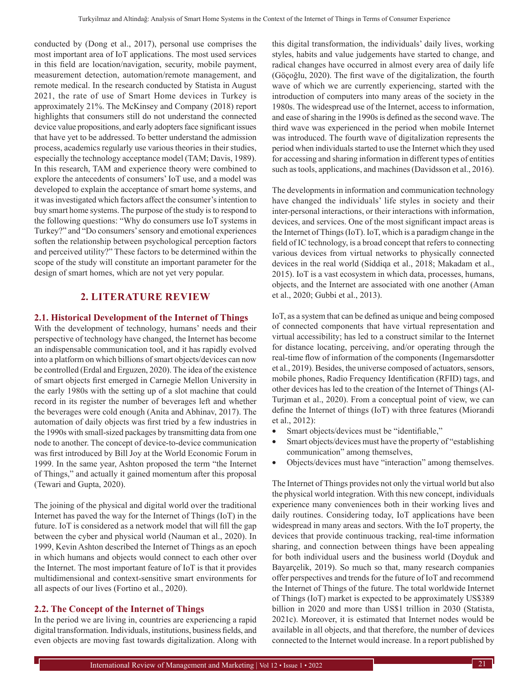conducted by (Dong et al., 2017), personal use comprises the most important area of IoT applications. The most used services in this field are location/navigation, security, mobile payment, measurement detection, automation/remote management, and remote medical. In the research conducted by Statista in August 2021, the rate of use of Smart Home devices in Turkey is approximately 21%. The McKinsey and Company (2018) report highlights that consumers still do not understand the connected device value propositions, and early adopters face significant issues that have yet to be addressed. To better understand the admission process, academics regularly use various theories in their studies, especially the technology acceptance model (TAM; Davis, 1989). In this research, TAM and experience theory were combined to explore the antecedents of consumers' IoT use, and a model was developed to explain the acceptance of smart home systems, and it was investigated which factors affect the consumer's intention to buy smart home systems. The purpose of the study is to respond to the following questions: "Why do consumers use IoT systems in Turkey?" and "Do consumers' sensory and emotional experiences soften the relationship between psychological perception factors and perceived utility?" These factors to be determined within the scope of the study will constitute an important parameter for the design of smart homes, which are not yet very popular.

# **2. LITERATURE REVIEW**

#### **2.1. Historical Development of the Internet of Things**

With the development of technology, humans' needs and their perspective of technology have changed, the Internet has become an indispensable communication tool, and it has rapidly evolved into a platform on which billions of smart objects/devices can now be controlled (Erdal and Erguzen, 2020). The idea of the existence of smart objects first emerged in Carnegie Mellon University in the early 1980s with the setting up of a slot machine that could record in its register the number of beverages left and whether the beverages were cold enough (Anita and Abhinav, 2017). The automation of daily objects was first tried by a few industries in the 1990s with small-sized packages by transmitting data from one node to another. The concept of device-to-device communication was first introduced by Bill Joy at the World Economic Forum in 1999. In the same year, Ashton proposed the term "the Internet of Things," and actually it gained momentum after this proposal (Tewari and Gupta, 2020).

The joining of the physical and digital world over the traditional Internet has paved the way for the Internet of Things (IoT) in the future. IoT is considered as a network model that will fill the gap between the cyber and physical world (Nauman et al., 2020). In 1999, Kevin Ashton described the Internet of Things as an epoch in which humans and objects would connect to each other over the Internet. The most important feature of IoT is that it provides multidimensional and context-sensitive smart environments for all aspects of our lives (Fortino et al., 2020).

#### **2.2. The Concept of the Internet of Things**

In the period we are living in, countries are experiencing a rapid digital transformation. Individuals, institutions, business fields, and even objects are moving fast towards digitalization. Along with this digital transformation, the individuals' daily lives, working styles, habits and value judgements have started to change, and radical changes have occurred in almost every area of daily life (Göçoğlu, 2020). The first wave of the digitalization, the fourth wave of which we are currently experiencing, started with the introduction of computers into many areas of the society in the 1980s. The widespread use of the Internet, access to information, and ease of sharing in the 1990s is defined as the second wave. The third wave was experienced in the period when mobile Internet was introduced. The fourth wave of digitalization represents the period when individuals started to use the Internet which they used for accessing and sharing information in different types of entities such as tools, applications, and machines (Davidsson et al., 2016).

The developments in information and communication technology have changed the individuals' life styles in society and their inter-personal interactions, or their interactions with information, devices, and services. One of the most significant impact areas is the Internet of Things (IoT). IoT, which is a paradigm change in the field of IC technology, is a broad concept that refers to connecting various devices from virtual networks to physically connected devices in the real world (Siddiqa et al., 2018; Makadam et al., 2015). IoT is a vast ecosystem in which data, processes, humans, objects, and the Internet are associated with one another (Aman et al., 2020; Gubbi et al., 2013).

IoT, as a system that can be defined as unique and being composed of connected components that have virtual representation and virtual accessibility; has led to a construct similar to the Internet for distance locating, perceiving, and/or operating through the real-time flow of information of the components (Ingemarsdotter et al., 2019). Besides, the universe composed of actuators, sensors, mobile phones, Radio Frequency Identification (RFID) tags, and other devices has led to the creation of the Internet of Things (Al-Turjman et al., 2020). From a conceptual point of view, we can define the Internet of things (IoT) with three features (Miorandi et al., 2012):

- Smart objects/devices must be "identifiable,"
- Smart objects/devices must have the property of "establishing" communication" among themselves,
- Objects/devices must have "interaction" among themselves.

The Internet of Things provides not only the virtual world but also the physical world integration. With this new concept, individuals experience many conveniences both in their working lives and daily routines. Considering today, IoT applications have been widespread in many areas and sectors. With the IoT property, the devices that provide continuous tracking, real-time information sharing, and connection between things have been appealing for both individual users and the business world (Doyduk and Bayarçelik, 2019). So much so that, many research companies offer perspectives and trends for the future of IoT and recommend the Internet of Things of the future. The total worldwide Internet of Things (IoT) market is expected to be approximately US\$389 billion in 2020 and more than US\$1 trillion in 2030 (Statista, 2021c). Moreover, it is estimated that Internet nodes would be available in all objects, and that therefore, the number of devices connected to the Internet would increase. In a report published by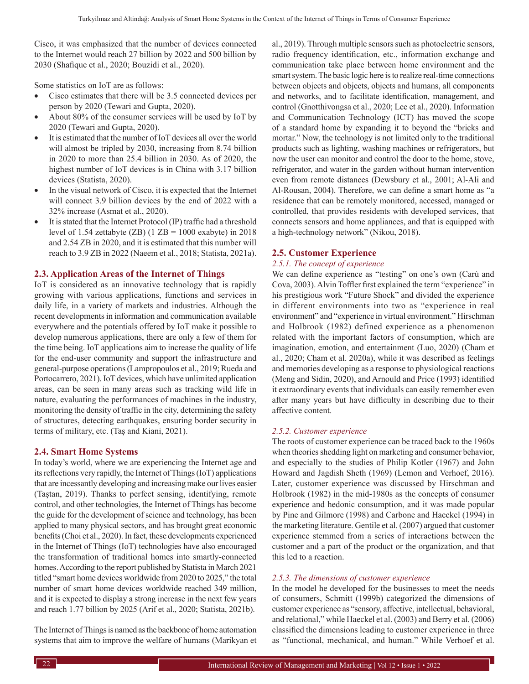Cisco, it was emphasized that the number of devices connected to the Internet would reach 27 billion by 2022 and 500 billion by 2030 (Shafique et al., 2020; Bouzidi et al., 2020).

Some statistics on IoT are as follows:

- Cisco estimates that there will be 3.5 connected devices per person by 2020 (Tewari and Gupta, 2020).
- About  $80\%$  of the consumer services will be used by IoT by 2020 (Tewari and Gupta, 2020).
- It is estimated that the number of IoT devices all over the world will almost be tripled by 2030, increasing from 8.74 billion in 2020 to more than 25.4 billion in 2030. As of 2020, the highest number of IoT devices is in China with 3.17 billion devices (Statista, 2020).
- In the visual network of Cisco, it is expected that the Internet will connect 3.9 billion devices by the end of 2022 with a 32% increase (Asmat et al., 2020).
- It is stated that the Internet Protocol (IP) traffic had a threshold level of 1.54 zettabyte  $(ZB)$  (1  $ZB = 1000$  exabyte) in 2018 and 2.54 ZB in 2020, and it is estimated that this number will reach to 3.9 ZB in 2022 (Naeem et al., 2018; Statista, 2021a).

# **2.3. Application Areas of the Internet of Things**

IoT is considered as an innovative technology that is rapidly growing with various applications, functions and services in daily life, in a variety of markets and industries. Although the recent developments in information and communication available everywhere and the potentials offered by IoT make it possible to develop numerous applications, there are only a few of them for the time being. IoT applications aim to increase the quality of life for the end-user community and support the infrastructure and general-purpose operations (Lampropoulos et al., 2019; Rueda and Portocarrero, 2021). IoT devices, which have unlimited application areas, can be seen in many areas such as tracking wild life in nature, evaluating the performances of machines in the industry, monitoring the density of traffic in the city, determining the safety of structures, detecting earthquakes, ensuring border security in terms of military, etc. (Taş and Kiani, 2021).

# **2.4. Smart Home Systems**

In today's world, where we are experiencing the Internet age and its reflections very rapidly, the Internet of Things (IoT) applications that are incessantly developing and increasing make our lives easier (Taştan, 2019). Thanks to perfect sensing, identifying, remote control, and other technologies, the Internet of Things has become the guide for the development of science and technology, has been applied to many physical sectors, and has brought great economic benefits (Choi et al., 2020). In fact, these developments experienced in the Internet of Things (IoT) technologies have also encouraged the transformation of traditional homes into smartly-connected homes. According to the report published by Statista in March 2021 titled "smart home devices worldwide from 2020 to 2025," the total number of smart home devices worldwide reached 349 million, and it is expected to display a strong increase in the next few years and reach 1.77 billion by 2025 (Arif et al., 2020; Statista, 2021b).

The Internet of Things is named as the backbone of home automation systems that aim to improve the welfare of humans (Marikyan et al., 2019). Through multiple sensors such as photoelectric sensors, radio frequency identification, etc., information exchange and communication take place between home environment and the smart system. The basic logic here is to realize real-time connections between objects and objects, objects and humans, all components and networks, and to facilitate identification, management, and control (Gnotthivongsa et al., 2020; Lee et al., 2020). Information and Communication Technology (ICT) has moved the scope of a standard home by expanding it to beyond the "bricks and mortar." Now, the technology is not limited only to the traditional products such as lighting, washing machines or refrigerators, but now the user can monitor and control the door to the home, stove, refrigerator, and water in the garden without human intervention even from remote distances (Dewsbury et al., 2001; Al-Ali and Al-Rousan, 2004). Therefore, we can define a smart home as "a residence that can be remotely monitored, accessed, managed or controlled, that provides residents with developed services, that connects sensors and home appliances, and that is equipped with a high-technology network" (Nikou, 2018).

#### **2.5. Customer Experience**

#### *2.5.1. The concept of experience*

We can define experience as "testing" on one's own (Carù and Cova, 2003). Alvin Toffler first explained the term "experience" in his prestigious work "Future Shock" and divided the experience in different environments into two as "experience in real environment" and "experience in virtual environment." Hirschman and Holbrook (1982) defined experience as a phenomenon related with the important factors of consumption, which are imagination, emotion, and entertainment (Luo, 2020) (Cham et al., 2020; Cham et al. 2020a), while it was described as feelings and memories developing as a response to physiological reactions (Meng and Sidin, 2020), and Arnould and Price (1993) identified it extraordinary events that individuals can easily remember even after many years but have difficulty in describing due to their affective content.

#### *2.5.2. Customer experience*

The roots of customer experience can be traced back to the 1960s when theories shedding light on marketing and consumer behavior, and especially to the studies of Philip Kotler (1967) and John Howard and Jagdish Sheth (1969) (Lemon and Verhoef, 2016). Later, customer experience was discussed by Hirschman and Holbrook (1982) in the mid-1980s as the concepts of consumer experience and hedonic consumption, and it was made popular by Pine and Gilmore (1998) and Carbone and Haeckel (1994) in the marketing literature. Gentile et al. (2007) argued that customer experience stemmed from a series of interactions between the customer and a part of the product or the organization, and that this led to a reaction.

#### *2.5.3. The dimensions of customer experience*

In the model he developed for the businesses to meet the needs of consumers, Schmitt (1999b) categorized the dimensions of customer experience as "sensory, affective, intellectual, behavioral, and relational," while Haeckel et al. (2003) and Berry et al. (2006) classified the dimensions leading to customer experience in three as "functional, mechanical, and human." While Verhoef et al.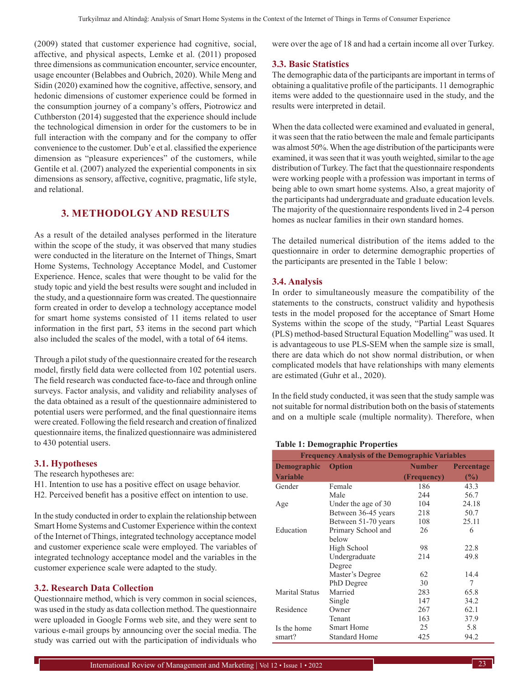(2009) stated that customer experience had cognitive, social, affective, and physical aspects, Lemke et al. (2011) proposed three dimensions as communication encounter, service encounter, usage encounter (Belabbes and Oubrich, 2020). While Meng and Sidin (2020) examined how the cognitive, affective, sensory, and hedonic dimensions of customer experience could be formed in the consumption journey of a company's offers, Piotrowicz and Cuthberston (2014) suggested that the experience should include the technological dimension in order for the customers to be in full interaction with the company and for the company to offer convenience to the customer. Dub'e et al. classified the experience dimension as "pleasure experiences" of the customers, while Gentile et al. (2007) analyzed the experiential components in six dimensions as sensory, affective, cognitive, pragmatic, life style, and relational.

# **3. METHODOLGY AND RESULTS**

As a result of the detailed analyses performed in the literature within the scope of the study, it was observed that many studies were conducted in the literature on the Internet of Things, Smart Home Systems, Technology Acceptance Model, and Customer Experience. Hence, scales that were thought to be valid for the study topic and yield the best results were sought and included in the study, and a questionnaire form was created. The questionnaire form created in order to develop a technology acceptance model for smart home systems consisted of 11 items related to user information in the first part, 53 items in the second part which also included the scales of the model, with a total of 64 items.

Through a pilot study of the questionnaire created for the research model, firstly field data were collected from 102 potential users. The field research was conducted face-to-face and through online surveys. Factor analysis, and validity and reliability analyses of the data obtained as a result of the questionnaire administered to potential users were performed, and the final questionnaire items were created. Following the field research and creation of finalized questionnaire items, the finalized questionnaire was administered to 430 potential users.

#### **3.1. Hypotheses**

The research hypotheses are:

- H1. Intention to use has a positive effect on usage behavior.
- H2. Perceived benefit has a positive effect on intention to use.

In the study conducted in order to explain the relationship between Smart Home Systems and Customer Experience within the context of the Internet of Things, integrated technology acceptance model and customer experience scale were employed. The variables of integrated technology acceptance model and the variables in the customer experience scale were adapted to the study.

#### **3.2. Research Data Collection**

Questionnaire method, which is very common in social sciences, was used in the study as data collection method. The questionnaire were uploaded in Google Forms web site, and they were sent to various e-mail groups by announcing over the social media. The study was carried out with the participation of individuals who were over the age of 18 and had a certain income all over Turkey.

#### **3.3. Basic Statistics**

The demographic data of the participants are important in terms of obtaining a qualitative profile of the participants. 11 demographic items were added to the questionnaire used in the study, and the results were interpreted in detail.

When the data collected were examined and evaluated in general, it was seen that the ratio between the male and female participants was almost 50%. When the age distribution of the participants were examined, it was seen that it was youth weighted, similar to the age distribution of Turkey. The fact that the questionnaire respondents were working people with a profession was important in terms of being able to own smart home systems. Also, a great majority of the participants had undergraduate and graduate education levels. The majority of the questionnaire respondents lived in 2-4 person homes as nuclear families in their own standard homes.

The detailed numerical distribution of the items added to the questionnaire in order to determine demographic properties of the participants are presented in the Table 1 below:

#### **3.4. Analysis**

In order to simultaneously measure the compatibility of the statements to the constructs, construct validity and hypothesis tests in the model proposed for the acceptance of Smart Home Systems within the scope of the study, "Partial Least Squares (PLS) method-based Structural Equation Modelling" was used. It is advantageous to use PLS-SEM when the sample size is small, there are data which do not show normal distribution, or when complicated models that have relationships with many elements are estimated (Guhr et al., 2020).

In the field study conducted, it was seen that the study sample was not suitable for normal distribution both on the basis of statements and on a multiple scale (multiple normality). Therefore, when

#### **Table 1: Demographic Properties**

|                       | <b>Frequency Analysis of the Demographic Variables</b> |             |                   |  |  |  |
|-----------------------|--------------------------------------------------------|-------------|-------------------|--|--|--|
| <b>Demographic</b>    | <b>Option</b>                                          | Number      | <b>Percentage</b> |  |  |  |
| <b>Variable</b>       |                                                        | (Frequency) | (%)               |  |  |  |
| Gender                | Female                                                 | 186         | 43.3              |  |  |  |
|                       | Male                                                   | 244         | 56.7              |  |  |  |
| Age                   | Under the age of 30                                    | 104         | 24.18             |  |  |  |
|                       | Between 36-45 years                                    | 218         | 50.7              |  |  |  |
|                       | Between 51-70 years                                    | 108         | 25.11             |  |  |  |
| Education             | Primary School and                                     | 26          | 6                 |  |  |  |
|                       | below                                                  |             |                   |  |  |  |
|                       | High School                                            | 98          | 22.8              |  |  |  |
|                       | Undergraduate                                          | 214         | 49.8              |  |  |  |
|                       | Degree                                                 |             |                   |  |  |  |
|                       | Master's Degree                                        | 62          | 14.4              |  |  |  |
|                       | PhD Degree                                             | 30          | 7                 |  |  |  |
| <b>Marital Status</b> | Married                                                | 283         | 65.8              |  |  |  |
|                       | Single                                                 | 147         | 34.2              |  |  |  |
| Residence             | Owner                                                  | 267         | 62.1              |  |  |  |
|                       | Tenant                                                 | 163         | 37.9              |  |  |  |
| Is the home           | <b>Smart Home</b>                                      | 25          | 5.8               |  |  |  |
| smart?                | Standard Home                                          | 425         | 94.2              |  |  |  |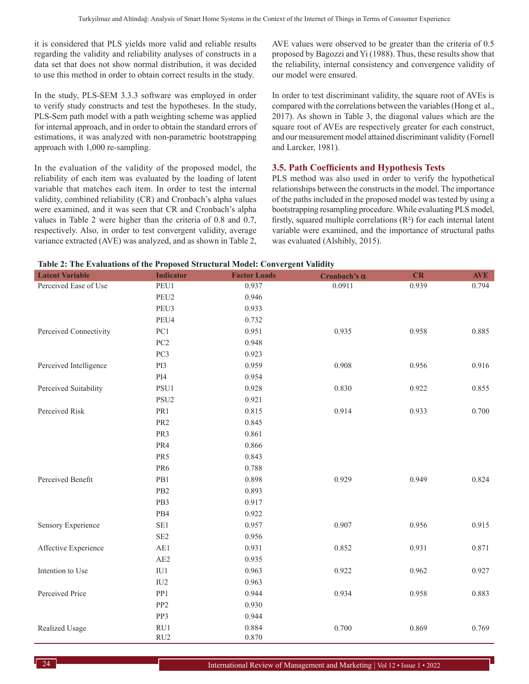it is considered that PLS yields more valid and reliable results regarding the validity and reliability analyses of constructs in a data set that does not show normal distribution, it was decided to use this method in order to obtain correct results in the study.

In the study, PLS-SEM 3.3.3 software was employed in order to verify study constructs and test the hypotheses. In the study, PLS-Sem path model with a path weighting scheme was applied for internal approach, and in order to obtain the standard errors of estimations, it was analyzed with non-parametric bootstrapping approach with 1,000 re-sampling.

In the evaluation of the validity of the proposed model, the reliability of each item was evaluated by the loading of latent variable that matches each item. In order to test the internal validity, combined reliability (CR) and Cronbach's alpha values were examined, and it was seen that CR and Cronbach's alpha values in Table 2 were higher than the criteria of 0.8 and 0.7, respectively. Also, in order to test convergent validity, average variance extracted (AVE) was analyzed, and as shown in Table 2, AVE values were observed to be greater than the criteria of 0.5 proposed by Bagozzi and Yi (1988). Thus, these results show that the reliability, internal consistency and convergence validity of our model were ensured.

In order to test discriminant validity, the square root of AVEs is compared with the correlations between the variables (Hong et al., 2017). As shown in Table 3, the diagonal values which are the square root of AVEs are respectively greater for each construct, and our measurement model attained discriminant validity (Fornell and Larcker, 1981).

#### **3.5. Path Coefficients and Hypothesis Tests**

PLS method was also used in order to verify the hypothetical relationships between the constructs in the model. The importance of the paths included in the proposed model was tested by using a bootstrapping resampling procedure. While evaluating PLS model, firstly, squared multiple correlations  $(R<sup>2</sup>)$  for each internal latent variable were examined, and the importance of structural paths was evaluated (Alshibly, 2015).

| Table 2: The Evaluations of the Proposed Structural Model: Convergent Validity |  |
|--------------------------------------------------------------------------------|--|
|--------------------------------------------------------------------------------|--|

| <b>Latent Variable</b> | <b>Indicator</b> | <b>Factor Loads</b> | Cronbach's $\alpha$ | CR    | <b>AVE</b> |
|------------------------|------------------|---------------------|---------------------|-------|------------|
| Perceived Ease of Use  | PEU1             | 0.937               | 0.0911              | 0.939 | 0.794      |
|                        | PEU2             | 0.946               |                     |       |            |
|                        | PEU3             | 0.933               |                     |       |            |
|                        | PEU4             | 0.732               |                     |       |            |
| Perceived Connectivity | PC1              | 0.951               | 0.935               | 0.958 | 0.885      |
|                        | PC <sub>2</sub>  | 0.948               |                     |       |            |
|                        | PC3              | 0.923               |                     |       |            |
| Perceived Intelligence | PI3              | 0.959               | 0.908               | 0.956 | 0.916      |
|                        | PI4              | 0.954               |                     |       |            |
| Perceived Suitability  | $\rm PSU1$       | 0.928               | 0.830               | 0.922 | 0.855      |
|                        | PSU <sub>2</sub> | 0.921               |                     |       |            |
| Perceived Risk         | PR1              | 0.815               | 0.914               | 0.933 | 0.700      |
|                        | PR <sub>2</sub>  | 0.845               |                     |       |            |
|                        | PR3              | 0.861               |                     |       |            |
|                        | PR4              | 0.866               |                     |       |            |
|                        | PR5              | 0.843               |                     |       |            |
|                        | PR6              | 0.788               |                     |       |            |
| Perceived Benefit      | PB1              | 0.898               | 0.929               | 0.949 | 0.824      |
|                        | PB <sub>2</sub>  | 0.893               |                     |       |            |
|                        | PB3              | 0.917               |                     |       |            |
|                        | PB4              | 0.922               |                     |       |            |
| Sensory Experience     | $\rm SE1$        | 0.957               | 0.907               | 0.956 | 0.915      |
|                        | SE <sub>2</sub>  | 0.956               |                     |       |            |
| Affective Experience   | AE1              | 0.931               | 0.852               | 0.931 | 0.871      |
|                        | AE2              | 0.935               |                     |       |            |
| Intention to Use       | IU1              | 0.963               | 0.922               | 0.962 | 0.927      |
|                        | IU <sub>2</sub>  | 0.963               |                     |       |            |
| Perceived Price        | PP1              | 0.944               | 0.934               | 0.958 | 0.883      |
|                        | PP <sub>2</sub>  | 0.930               |                     |       |            |
|                        | PP3              | 0.944               |                     |       |            |
| Realized Usage         | RU1              | 0.884               | 0.700               | 0.869 | 0.769      |
|                        | RU <sub>2</sub>  | 0.870               |                     |       |            |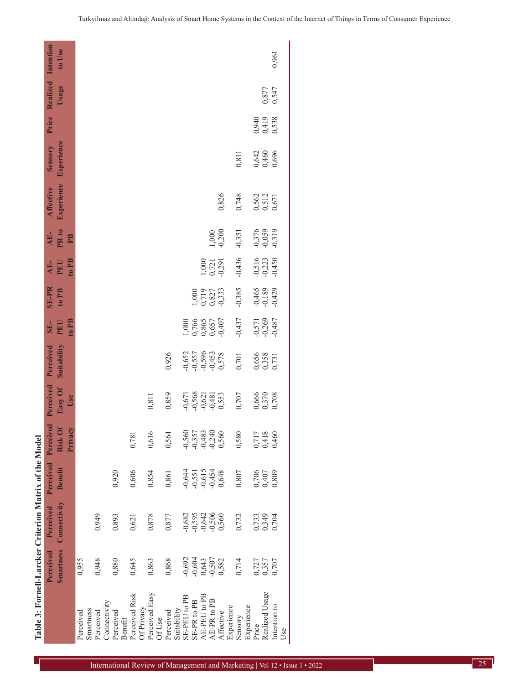|                          |                                 | Perceived Perceived Perceived Perceived |                         |                                 | Perceived Perceived              |                                  | SE-<br>PEU                                | <b>SE-PR</b>                                                    | AE-<br>PEU                       | AE-<br>PR to                     | <b>Affective</b>        | Sensory                 |                         | <b>Price Realized Intention</b> |        |
|--------------------------|---------------------------------|-----------------------------------------|-------------------------|---------------------------------|----------------------------------|----------------------------------|-------------------------------------------|-----------------------------------------------------------------|----------------------------------|----------------------------------|-------------------------|-------------------------|-------------------------|---------------------------------|--------|
|                          |                                 | Smartness Connectivity                  | <b>Benefit</b>          | Risk Of<br>Privacy              | Easy Of<br>Use                   | Suitability                      | to PB                                     | to PB                                                           | to PB                            | PB                               | <b>Experience</b>       | Experience              |                         | Usage                           | to Use |
| Perceived                | 0,955                           |                                         |                         |                                 |                                  |                                  |                                           |                                                                 |                                  |                                  |                         |                         |                         |                                 |        |
| Smartness                |                                 |                                         |                         |                                 |                                  |                                  |                                           |                                                                 |                                  |                                  |                         |                         |                         |                                 |        |
| Perceived                | 0,948                           | 0,949                                   |                         |                                 |                                  |                                  |                                           |                                                                 |                                  |                                  |                         |                         |                         |                                 |        |
| Connectivity             |                                 |                                         |                         |                                 |                                  |                                  |                                           |                                                                 |                                  |                                  |                         |                         |                         |                                 |        |
| Perceived<br>Benefit     | 0,880                           | 0,893                                   | 0,920                   |                                 |                                  |                                  |                                           |                                                                 |                                  |                                  |                         |                         |                         |                                 |        |
| Perceived Risk           | 0,645                           | 0,621                                   | 0,606                   | 0,781                           |                                  |                                  |                                           |                                                                 |                                  |                                  |                         |                         |                         |                                 |        |
| Of Privacy               |                                 |                                         |                         |                                 |                                  |                                  |                                           |                                                                 |                                  |                                  |                         |                         |                         |                                 |        |
| Perceived Easy<br>Of Use | 0,863                           | 0,878                                   | 0,854                   | 0,616                           | 0,811                            |                                  |                                           |                                                                 |                                  |                                  |                         |                         |                         |                                 |        |
| Suitability<br>Perceived | 0,868                           | 0,877                                   | 0,861                   | 0,564                           | 0,859                            | 0,926                            |                                           |                                                                 |                                  |                                  |                         |                         |                         |                                 |        |
|                          |                                 |                                         |                         |                                 |                                  |                                  |                                           |                                                                 |                                  |                                  |                         |                         |                         |                                 |        |
| SE-PEU to PB             |                                 | $-0,682$                                |                         | $-0,560$                        |                                  |                                  |                                           |                                                                 |                                  |                                  |                         |                         |                         |                                 |        |
| SE-PR to PB              |                                 |                                         |                         | $-0,357$                        |                                  |                                  |                                           |                                                                 |                                  |                                  |                         |                         |                         |                                 |        |
| AE-PEU to PB             |                                 |                                         |                         |                                 |                                  |                                  |                                           |                                                                 |                                  |                                  |                         |                         |                         |                                 |        |
| AE-PR to PB              |                                 |                                         |                         |                                 |                                  |                                  |                                           |                                                                 |                                  |                                  |                         |                         |                         |                                 |        |
| Affective                | 0.692<br>0.643<br>0.507<br>0.82 | 0,595<br>0,642<br>0,506<br>0,560        |                         | $-0,483$<br>$-0,240$<br>$0,560$ | 0,568<br>0,568<br>0,000<br>0,553 | 0,657<br>0,557<br>0,578<br>0,578 | 1,000<br>0,766<br>0,865<br>0,657<br>0,407 | $\begin{array}{c} 1,000 \\ 0,719 \\ 0,827 \\ 0,333 \end{array}$ | $1,000$<br>$0,721$<br>$0,291$    | 1,000<br>-0,200                  | 0,826                   |                         |                         |                                 |        |
| Experience               |                                 |                                         |                         |                                 |                                  |                                  |                                           |                                                                 |                                  |                                  |                         |                         |                         |                                 |        |
| Sensory                  | 0,714                           | 0,732                                   | 0,807                   | 0,580                           | 0,707                            | 0,701                            | $-0,437$                                  | $-0,385$                                                        | $-0,436$                         | $-0,351$                         | 0,748                   | 0,811                   |                         |                                 |        |
| Experience               |                                 |                                         |                         |                                 |                                  |                                  |                                           |                                                                 |                                  |                                  |                         |                         |                         |                                 |        |
| Price                    |                                 |                                         |                         |                                 |                                  |                                  |                                           |                                                                 |                                  |                                  |                         |                         |                         |                                 |        |
| Realized Usage           | 0,727<br>0,357<br>0,707         | 0,733<br>0,349                          | 0,706<br>0,407<br>0,809 | 0,717<br>0,418<br>0,460         | 0,666<br>0,370<br>0,708          | 0,656<br>0,358<br>0,731          | $-0,571$<br>$-0,269$<br>$-0,487$          |                                                                 |                                  | $-0,376$<br>$-0,059$<br>$-0,319$ | 0,562<br>0,512<br>0,671 | 0,642<br>0,460<br>0,696 | 0,940<br>0,419<br>0,538 |                                 |        |
| Intention to             |                                 | 0,704                                   |                         |                                 |                                  |                                  |                                           | $-0,465$<br>$-0,189$<br>$-0,429$                                | $-0,516$<br>$-0,223$<br>$-0,450$ |                                  |                         |                         |                         | 0,877<br>0,547                  | 0,961  |
| Use                      |                                 |                                         |                         |                                 |                                  |                                  |                                           |                                                                 |                                  |                                  |                         |                         |                         |                                 |        |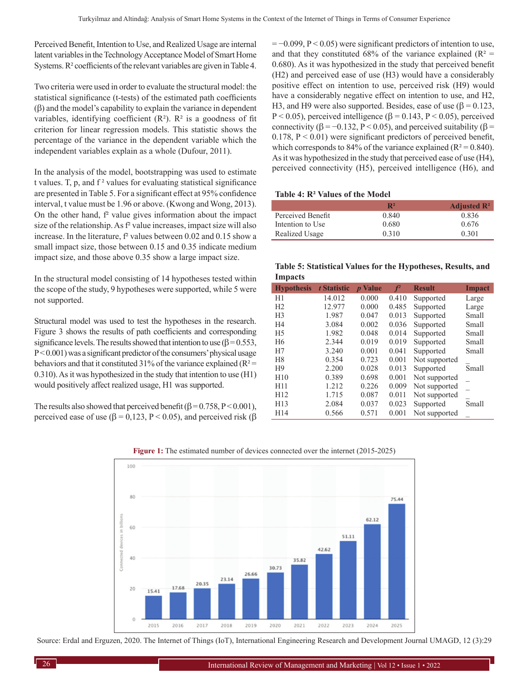Perceived Benefit, Intention to Use, and Realized Usage are internal latent variables in the Technology Acceptance Model of Smart Home Systems. R² coefficients of the relevant variables are given in Table 4.

Two criteria were used in order to evaluate the structural model: the statistical significance (t-tests) of the estimated path coefficients (β) and the model's capability to explain the variance in dependent variables, identifying coefficient  $(R<sup>2</sup>)$ .  $R<sup>2</sup>$  is a goodness of fit criterion for linear regression models. This statistic shows the percentage of the variance in the dependent variable which the independent variables explain as a whole (Dufour, 2011).

In the analysis of the model, bootstrapping was used to estimate t values. T, p, and  $f^2$  values for evaluating statistical significance are presented in Table 5. For a significant effect at 95% confidence interval, t value must be 1.96 or above. (Kwong and Wong, 2013). On the other hand, f² value gives information about the impact size of the relationship. As f² value increases, impact size will also increase. In the literature,  $f<sup>2</sup>$  values between 0.02 and 0.15 show a small impact size, those between 0.15 and 0.35 indicate medium impact size, and those above 0.35 show a large impact size.

In the structural model consisting of 14 hypotheses tested within the scope of the study, 9 hypotheses were supported, while 5 were not supported.

Structural model was used to test the hypotheses in the research. Figure 3 shows the results of path coefficients and corresponding significance levels. The results showed that intention to use ( $\beta$  = 0.553,  $P < 0.001$ ) was a significant predictor of the consumers' physical usage behaviors and that it constituted 31% of the variance explained ( $R^2$  = 0.310). As it was hypothesized in the study that intention to use (H1) would positively affect realized usage, H1 was supported.

The results also showed that perceived benefit  $(\beta = 0.758, P \le 0.001)$ , perceived ease of use ( $β = 0,123, P < 0.05$ ), and perceived risk ( $β$   $= -0.099$ ,  $P < 0.05$ ) were significant predictors of intention to use, and that they constituted 68% of the variance explained ( $R^2$  = 0.680). As it was hypothesized in the study that perceived benefit (H2) and perceived ease of use (H3) would have a considerably positive effect on intention to use, perceived risk (H9) would have a considerably negative effect on intention to use, and H2, H3, and H9 were also supported. Besides, ease of use  $(\beta = 0.123)$ , P  $\leq$  0.05), perceived intelligence ( $\beta$  = 0.143, P  $\leq$  0.05), perceived connectivity ( $\beta$  = -0.132, P < 0.05), and perceived suitability ( $\beta$  = 0.178,  $P < 0.01$ ) were significant predictors of perceived benefit, which corresponds to 84% of the variance explained ( $R^2 = 0.840$ ). As it was hypothesized in the study that perceived ease of use (H4), perceived connectivity (H5), perceived intelligence (H6), and

#### **Table 4: R² Values of the Model**

| $\mathbf{R}^2$ | Adjusted $\mathbb{R}^2$ |
|----------------|-------------------------|
| 0.840          | 0.836                   |
| 0.680          | 0.676                   |
| 0.310          | 0.301                   |
|                |                         |

**Table 5: Statistical Values for the Hypotheses, Results, and Impacts**

| <b>Hypothesis</b> | t Statistic | <i>p</i> Value | $f^2$ | <b>Result</b> | Impact |
|-------------------|-------------|----------------|-------|---------------|--------|
| H1                | 14.012      | 0.000          | 0.410 | Supported     | Large  |
| H <sub>2</sub>    | 12.977      | 0.000          | 0.485 | Supported     | Large  |
| H <sub>3</sub>    | 1.987       | 0.047          | 0.013 | Supported     | Small  |
| H <sub>4</sub>    | 3.084       | 0.002          | 0.036 | Supported     | Small  |
| H <sub>5</sub>    | 1.982       | 0.048          | 0.014 | Supported     | Small  |
| H <sub>6</sub>    | 2.344       | 0.019          | 0.019 | Supported     | Small  |
| H7                | 3.240       | 0.001          | 0.041 | Supported     | Small  |
| H <sub>8</sub>    | 0.354       | 0.723          | 0.001 | Not supported |        |
| H <sub>9</sub>    | 2.200       | 0.028          | 0.013 | Supported     | Small  |
| H10               | 0.389       | 0.698          | 0.001 | Not supported |        |
| H11               | 1.212       | 0.226          | 0.009 | Not supported |        |
| H12               | 1.715       | 0.087          | 0.011 | Not supported |        |
| H13               | 2.084       | 0.037          | 0.023 | Supported     | Small  |
| H14               | 0.566       | 0.571          | 0.001 | Not supported |        |





Source: Erdal and Erguzen, 2020. The Internet of Things (IoT), International Engineering Research and Development Journal UMAGD, 12 (3):29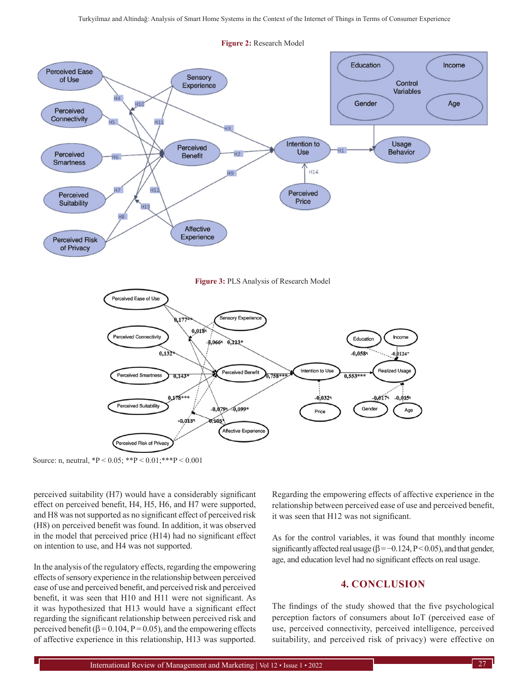

Source: n, neutral,  ${}^*P < 0.05$ ;  ${}^{**P} < 0.01$ ;  ${}^{***P} < 0.001$ 

perceived suitability (H7) would have a considerably significant effect on perceived benefit, H4, H5, H6, and H7 were supported, and H8 was not supported as no significant effect of perceived risk (H8) on perceived benefit was found. In addition, it was observed in the model that perceived price (H14) had no significant effect on intention to use, and H4 was not supported.

In the analysis of the regulatory effects, regarding the empowering effects of sensory experience in the relationship between perceived ease of use and perceived benefit, and perceived risk and perceived benefit, it was seen that H10 and H11 were not significant. As it was hypothesized that H13 would have a significant effect regarding the significant relationship between perceived risk and perceived benefit ( $\beta$  = 0.104, P = 0.05), and the empowering effects of affective experience in this relationship, H13 was supported.

Regarding the empowering effects of affective experience in the relationship between perceived ease of use and perceived benefit, it was seen that H12 was not significant.

As for the control variables, it was found that monthly income significantly affected real usage ( $\beta = -0.124$ , P < 0.05), and that gender, age, and education level had no significant effects on real usage.

# **4. CONCLUSION**

The findings of the study showed that the five psychological perception factors of consumers about IoT (perceived ease of use, perceived connectivity, perceived intelligence, perceived suitability, and perceived risk of privacy) were effective on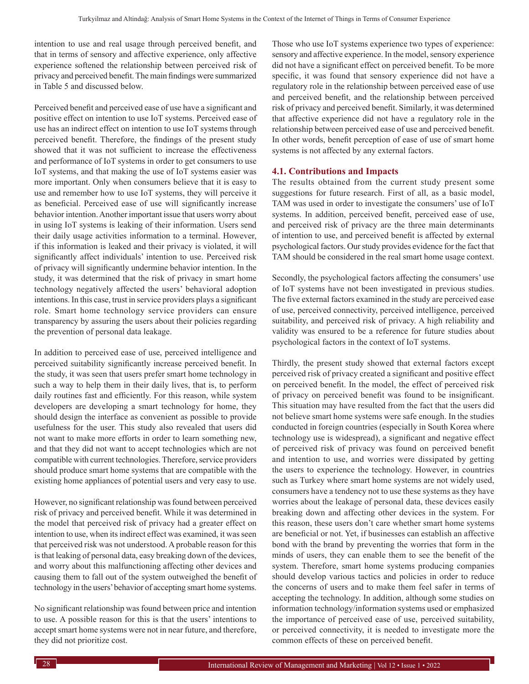intention to use and real usage through perceived benefit, and that in terms of sensory and affective experience, only affective experience softened the relationship between perceived risk of privacy and perceived benefit. The main findings were summarized in Table 5 and discussed below.

Perceived benefit and perceived ease of use have a significant and positive effect on intention to use IoT systems. Perceived ease of use has an indirect effect on intention to use IoT systems through perceived benefit. Therefore, the findings of the present study showed that it was not sufficient to increase the effectiveness and performance of IoT systems in order to get consumers to use IoT systems, and that making the use of IoT systems easier was more important. Only when consumers believe that it is easy to use and remember how to use IoT systems, they will perceive it as beneficial. Perceived ease of use will significantly increase behavior intention. Another important issue that users worry about in using IoT systems is leaking of their information. Users send their daily usage activities information to a terminal. However, if this information is leaked and their privacy is violated, it will significantly affect individuals' intention to use. Perceived risk of privacy will significantly undermine behavior intention. In the study, it was determined that the risk of privacy in smart home technology negatively affected the users' behavioral adoption intentions. In this case, trust in service providers plays a significant role. Smart home technology service providers can ensure transparency by assuring the users about their policies regarding the prevention of personal data leakage.

In addition to perceived ease of use, perceived intelligence and perceived suitability significantly increase perceived benefit. In the study, it was seen that users prefer smart home technology in such a way to help them in their daily lives, that is, to perform daily routines fast and efficiently. For this reason, while system developers are developing a smart technology for home, they should design the interface as convenient as possible to provide usefulness for the user. This study also revealed that users did not want to make more efforts in order to learn something new, and that they did not want to accept technologies which are not compatible with current technologies. Therefore, service providers should produce smart home systems that are compatible with the existing home appliances of potential users and very easy to use.

However, no significant relationship was found between perceived risk of privacy and perceived benefit. While it was determined in the model that perceived risk of privacy had a greater effect on intention to use, when its indirect effect was examined, it was seen that perceived risk was not understood. Aprobable reason for this is that leaking of personal data, easy breaking down of the devices, and worry about this malfunctioning affecting other devices and causing them to fall out of the system outweighed the benefit of technology in the users' behavior of accepting smart home systems.

No significant relationship was found between price and intention to use. A possible reason for this is that the users' intentions to accept smart home systems were not in near future, and therefore, they did not prioritize cost.

Those who use IoT systems experience two types of experience: sensory and affective experience. In the model, sensory experience did not have a significant effect on perceived benefit. To be more specific, it was found that sensory experience did not have a regulatory role in the relationship between perceived ease of use and perceived benefit, and the relationship between perceived risk of privacy and perceived benefit. Similarly, it was determined that affective experience did not have a regulatory role in the relationship between perceived ease of use and perceived benefit. In other words, benefit perception of ease of use of smart home systems is not affected by any external factors.

### **4.1. Contributions and Impacts**

The results obtained from the current study present some suggestions for future research. First of all, as a basic model, TAM was used in order to investigate the consumers' use of IoT systems. In addition, perceived benefit, perceived ease of use, and perceived risk of privacy are the three main determinants of intention to use, and perceived benefit is affected by external psychological factors. Our study provides evidence for the fact that TAM should be considered in the real smart home usage context.

Secondly, the psychological factors affecting the consumers' use of IoT systems have not been investigated in previous studies. The five external factors examined in the study are perceived ease of use, perceived connectivity, perceived intelligence, perceived suitability, and perceived risk of privacy. A high reliability and validity was ensured to be a reference for future studies about psychological factors in the context of IoT systems.

Thirdly, the present study showed that external factors except perceived risk of privacy created a significant and positive effect on perceived benefit. In the model, the effect of perceived risk of privacy on perceived benefit was found to be insignificant. This situation may have resulted from the fact that the users did not believe smart home systems were safe enough. In the studies conducted in foreign countries (especially in South Korea where technology use is widespread), a significant and negative effect of perceived risk of privacy was found on perceived benefit and intention to use, and worries were dissipated by getting the users to experience the technology. However, in countries such as Turkey where smart home systems are not widely used, consumers have a tendency not to use these systems as they have worries about the leakage of personal data, these devices easily breaking down and affecting other devices in the system. For this reason, these users don't care whether smart home systems are beneficial or not. Yet, if businesses can establish an affective bond with the brand by preventing the worries that form in the minds of users, they can enable them to see the benefit of the system. Therefore, smart home systems producing companies should develop various tactics and policies in order to reduce the concerns of users and to make them feel safer in terms of accepting the technology. In addition, although some studies on information technology/information systems used or emphasized the importance of perceived ease of use, perceived suitability, or perceived connectivity, it is needed to investigate more the common effects of these on perceived benefit.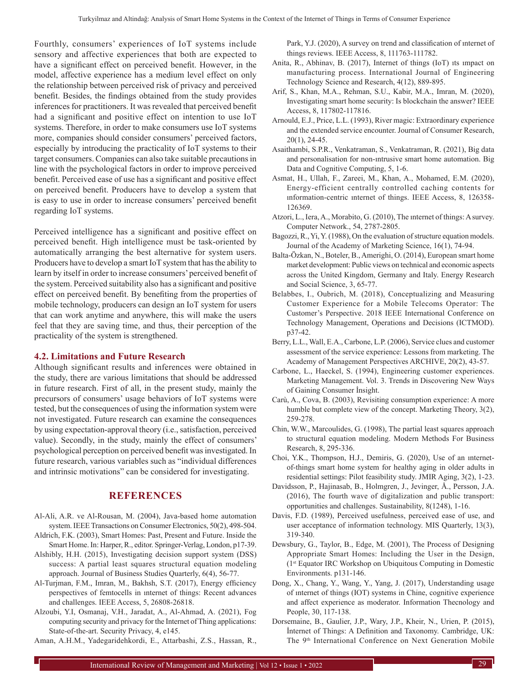Fourthly, consumers' experiences of IoT systems include sensory and affective experiences that both are expected to have a significant effect on perceived benefit. However, in the model, affective experience has a medium level effect on only the relationship between perceived risk of privacy and perceived benefit. Besides, the findings obtained from the study provides inferences for practitioners. It was revealed that perceived benefit had a significant and positive effect on intention to use IoT systems. Therefore, in order to make consumers use IoT systems more, companies should consider consumers' perceived factors, especially by introducing the practicality of IoT systems to their target consumers. Companies can also take suitable precautions in line with the psychological factors in order to improve perceived benefit. Perceived ease of use has a significant and positive effect on perceived benefit. Producers have to develop a system that is easy to use in order to increase consumers' perceived benefit regarding IoT systems.

Perceived intelligence has a significant and positive effect on perceived benefit. High intelligence must be task-oriented by automatically arranging the best alternative for system users. Producers have to develop a smart IoT system that has the ability to learn by itself in order to increase consumers' perceived benefit of the system. Perceived suitability also has a significant and positive effect on perceived benefit. By benefiting from the properties of mobile technology, producers can design an IoT system for users that can work anytime and anywhere, this will make the users feel that they are saving time, and thus, their perception of the practicality of the system is strengthened.

#### **4.2. Limitations and Future Research**

Although significant results and inferences were obtained in the study, there are various limitations that should be addressed in future research. First of all, in the present study, mainly the precursors of consumers' usage behaviors of IoT systems were tested, but the consequences of using the information system were not investigated. Future research can examine the consequences by using expectation-approval theory (i.e., satisfaction, perceived value). Secondly, in the study, mainly the effect of consumers' psychological perception on perceived benefit was investigated. In future research, various variables such as "individual differences and intrinsic motivations" can be considered for investigating.

# **REFERENCES**

- Al-Ali, A.R. ve Al-Rousan, M. (2004), Java-based home automation system. IEEE Transactions on Consumer Electronics, 50(2), 498-504.
- Aldrich, F.K. (2003), Smart Homes: Past, Present and Future. Inside the Smart Home. In: Harper, R., editor. Springer-Verlag, London, p17-39.
- Alshibly, H.H. (2015), Investigating decision support system (DSS) success: A partial least squares structural equation modeling approach. Journal of Business Studies Quarterly, 6(4), 56-77.
- Al-Turjman, F.M., Imran, M., Bakhsh, S.T. (2017), Energy efficiency perspectives of femtocells in ınternet of things: Recent advances and challenges. IEEE Access, 5, 26808-26818.
- Alzoubi, Y.I, Osmanaj, V.H., Jaradat, A., Al-Ahmad, A. (2021), Fog computing security and privacy for the Internet of Thing applications: State-of-the-art. Security Privacy, 4, e145.

Aman, A.H.M., Yadegaridehkordi, E., Attarbashi, Z.S., Hassan, R.,

Park, Y.J. (2020), A survey on trend and classification of ınternet of things reviews. IEEE Access, 8, 111763-111782.

- Anita, R., Abhinav, B. (2017), Internet of things (IoT) ıts ımpact on manufacturing process. International Journal of Engineering Technology Science and Research, 4(12), 889-895.
- Arif, S., Khan, M.A., Rehman, S.U., Kabir, M.A., Imran, M. (2020), Investigating smart home security: Is blockchain the answer? IEEE Access, 8, 117802-117816.
- Arnould, E.J., Price, L.L. (1993), River magic: Extraordinary experience and the extended service encounter. Journal of Consumer Research, 20(1), 24-45.
- Asaithambi, S.P.R., Venkatraman, S., Venkatraman, R. (2021), Big data and personalisation for non-ıntrusive smart home automation. Big Data and Cognitive Computing, 5, 1-6.
- Asmat, H., Ullah, F., Zareei, M., Khan, A., Mohamed, E.M. (2020), Energy-efficient centrally controlled caching contents for ınformation-centric ınternet of things. IEEE Access, 8, 126358- 126369.
- Atzori, L., Iera, A., Morabito, G. (2010), The ınternet of things: Asurvey. Computer Network., 54, 2787-2805.
- Bagozzi, R., Yi, Y. (1988), On the evaluation of structure equation models. Journal of the Academy of Marketing Science, 16(1), 74-94.
- Balta-Özkan, N., Boteler, B., Amerighi, O. (2014), European smart home market development: Public views on technical and economic aspects across the United Kingdom, Germany and Italy. Energy Research and Social Science, 3, 65-77.
- Belabbes, I., Oubrich, M. (2018), Conceptualizing and Measuring Customer Experience for a Mobile Telecoms Operator: The Customer's Perspective. 2018 IEEE International Conference on Technology Management, Operations and Decisions (ICTMOD). p37-42.
- Berry, L.L., Wall, E.A., Carbone, L.P. (2006), Service clues and customer assessment of the service experience: Lessons from marketing. The Academy of Management Perspectives ARCHIVE, 20(2), 43-57.
- Carbone, L., Haeckel, S. (1994), Engineering customer experiences. Marketing Management. Vol. 3. Trends in Discovering New Ways of Gaining Consumer İnsight.
- Carù, A., Cova, B. (2003), Revisiting consumption experience: A more humble but complete view of the concept. Marketing Theory, 3(2), 259-278.
- Chin, W.W., Marcoulides, G. (1998), The partial least squares approach to structural equation modeling. Modern Methods For Business Research, 8, 295-336.
- Choi, Y.K., Thompson, H.J., Demiris, G. (2020), Use of an ınternetof-things smart home system for healthy aging in older adults in residential settings: Pilot feasibility study. JMIR Aging, 3(2), 1-23.
- Davidsson, P., Hajinasab, B., Holmgren, J., Jevinger, Å., Persson, J.A. (2016), The fourth wave of digitalization and public transport: opportunities and challenges. Sustainability, 8(1248), 1-16.
- Davis, F.D. (1989), Perceived usefulness, perceived ease of use, and user acceptance of information technology. MIS Quarterly, 13(3), 319-340.
- Dewsbury, G., Taylor, B., Edge, M. (2001), The Process of Designing Appropriate Smart Homes: Including the User in the Design, (1st Equator IRC Workshop on Ubiquitous Computing in Domestic Environments. p131-146.
- Dong, X., Chang, Y., Wang, Y., Yang, J. (2017), Understanding usage of ınternet of things (IOT) systems in Chine, cognitive experience and affect experience as moderator. Information Thecnology and People, 30, 117-138.
- Dorsemaine, B., Gaulier, J.P., Wary, J.P., Kheir, N., Urien, P. (2015), İnternet of Things: A Definition and Taxonomy. Cambridge, UK: The 9<sup>th</sup> International Conference on Next Generation Mobile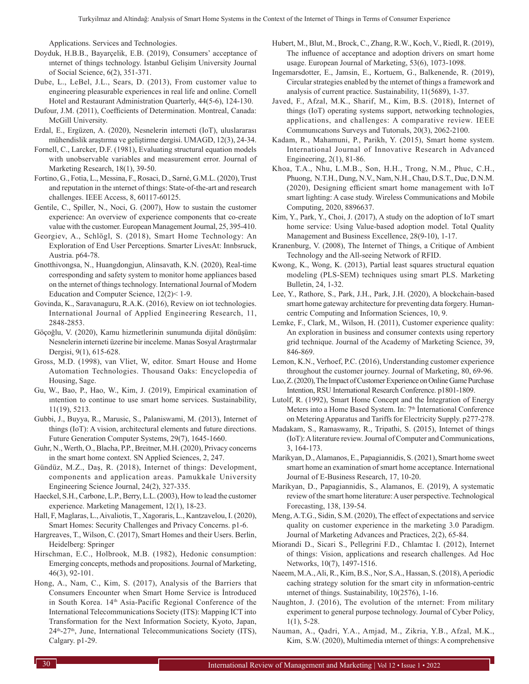Applications. Services and Technologies.

- Doyduk, H.B.B., Bayarçelik, E.B. (2019), Consumers' acceptance of ınternet of things technology. İstanbul Gelişim University Journal of Social Science, 6(2), 351-371.
- Dube, L., LeBel, J.L., Sears, D. (2013), From customer value to engineering pleasurable experiences in real life and online. Cornell Hotel and Restaurant Administration Quarterly, 44(5-6), 124-130.
- Dufour, J.M. (2011), Coefficients of Determination. Montreal, Canada: McGill University.
- Erdal, E., Ergüzen, A. (2020), Nesnelerin interneti (IoT), uluslararası mühendislik araştırma ve geliştirme dergisi. UMAGD, 12(3), 24-34.
- Fornell, C., Larcker, D.F. (1981), Evaluating structural equation models with unobservable variables and measurement error. Journal of Marketing Research, 18(1), 39-50.
- Fortino, G., Fotia, L., Messina, F., Rosaci, D., Sarné, G.M.L. (2020), Trust and reputation in the ınternet of things: State-of-the-art and research challenges. IEEE Access, 8, 60117-60125.
- Gentile, C., Spiller, N., Noci, G. (2007), How to sustain the customer experience: An overview of experience components that co-create value with the customer. European Management Journal, 25, 395-410.
- Georgiev, A., Schlögl, S. (2018), Smart Home Technology: An Exploration of End User Perceptions. Smarter LivesAt: Innbsruck, Austria. p64-78.
- Gnotthivongsa, N., Huangdongjun, Alinsavath, K.N. (2020), Real-time corresponding and safety system to monitor home appliances based on the ınternet of things technology. International Journal of Modern Education and Computer Science, 12(2)< 1-9.
- Govinda, K., Saravanaguru, R.A.K. (2016), Review on iot technologies. International Journal of Applied Engineering Research, 11, 2848-2853.
- Göçoğlu, V. (2020), Kamu hizmetlerinin sunumunda dijital dönüşüm: Nesnelerin interneti üzerine bir inceleme. Manas Sosyal Araştırmalar Dergisi, 9(1), 615-628.
- Gross, M.D. (1998), van Vliet, W, editor. Smart House and Home Automation Technologies. Thousand Oaks: Encyclopedia of Housing, Sage.
- Gu, W., Bao, P., Hao, W., Kim, J. (2019), Empirical examination of ıntention to continue to use smart home services. Sustainability, 11(19), 5213.
- Gubbi, J., Buyya, R., Marusic, S., Palaniswami, M. (2013), Internet of things (IoT): A vision, architectural elements and future directions. Future Generation Computer Systems, 29(7), 1645-1660.
- Guhr, N., Werth, O., Blacha, P.P., Breitner, M.H. (2020), Privacy concerns in the smart home context. SN Applied Sciences, 2, 247.
- Gündüz, M.Z., Daş, R. (2018), Internet of things: Development, components and application areas. Pamukkale University Engineering Science Journal, 24(2), 327-335.
- Haeckel, S.H., Carbone, L.P., Berry, L.L. (2003), How to lead the customer experience. Marketing Management, 12(1), 18-23.
- Hall, F, Maglaras, L., Aivaliotis, T., Xagoraris, L., Kantzavelou, I. (2020), Smart Homes: Security Challenges and Privacy Concerns. p1-6.
- Hargreaves, T., Wilson, C. (2017), Smart Homes and their Users. Berlin, Heidelberg: Springer
- Hirschman, E.C., Holbrook, M.B. (1982), Hedonic consumption: Emerging concepts, methods and propositions. Journal of Marketing, 46(3), 92-101.
- Hong, A., Nam, C., Kim, S. (2017), Analysis of the Barriers that Consumers Encounter when Smart Home Service is İntroduced in South Korea. 14<sup>th</sup> Asia-Pacific Regional Conference of the International Telecommunications Society (ITS): Mapping ICT into Transformation for the Next Information Society, Kyoto, Japan, 24th-27th, June, International Telecommunications Society (ITS), Calgary. p1-29.
- Hubert, M., Blut, M., Brock, C., Zhang, R.W., Koch, V., Riedl, R. (2019), The influence of acceptance and adoption drivers on smart home usage. European Journal of Marketing, 53(6), 1073-1098.
- Ingemarsdotter, E., Jamsin, E., Kortuem, G., Balkenende, R. (2019), Circular strategies enabled by the ınternet of things a framework and analysis of current practice. Sustainability, 11(5689), 1-37.
- Javed, F., Afzal, M.K., Sharif, M., Kim, B.S. (2018), Internet of things (IoT) operating systems support, networking technologies, applications, and challenges: A comparative review. IEEE Communıcatıons Surveys and Tutorıals, 20(3), 2062-2100.
- Kadam, R., Mahamuni, P., Parikh, Y. (2015), Smart home system. International Journal of Innovative Research in Advanced Engineering, 2(1), 81-86.
- Khoa, T.A., Nhu, L.M.B., Son, H.H., Trong, N.M., Phuc, C.H., Phuong, N.T.H., Dung, N.V., Nam, N.H., Chau, D.S.T., Duc, D.N.M. (2020), Designing efficient smart home management with IoT smart lighting: A case study. Wireless Communications and Mobile Computing, 2020, 8896637.
- Kim, Y., Park, Y., Choi, J. (2017), A study on the adoption of IoT smart home service: Using Value-based adoption model. Total Quality Management and Business Excellence, 28(9-10), 1-17.
- Kranenburg, V. (2008), The Internet of Things, a Critique of Ambient Technology and the All-seeing Network of RFID.
- Kwong, K., Wong, K. (2013), Partial least squares structural equation modeling (PLS-SEM) techniques using smart PLS. Marketing Bulletin, 24, 1-32.
- Lee, Y., Rathore, S., Park, J.H., Park, J.H. (2020), A blockchain-based smart home gateway architecture for preventing data forgery. Humancentric Computing and Information Sciences, 10, 9.
- Lemke, F., Clark, M., Wilson, H. (2011), Customer experience quality: An exploration in business and consumer contexts using repertory grid technique. Journal of the Academy of Marketing Science, 39, 846-869.
- Lemon, K.N., Verhoef, P.C. (2016), Understanding customer experience throughout the customer journey. Journal of Marketing, 80, 69-96.
- Luo, Z. (2020), The Impact of Customer Experience on Online Game Purchase Intention, RSU International Research Conference. p1801-1809.
- Lutolf, R. (1992), Smart Home Concept and the İntegration of Energy Meters into a Home Based System. In: 7<sup>th</sup> International Conference on Metering Apparatus and Tariffs for Electricity Supply. p277-278.
- Madakam, S., Ramaswamy, R., Tripathi, S. (2015), Internet of things (IoT): Aliterature review. Journal of Computer and Communications, 3, 164-173.
- Marikyan, D., Alamanos, E., Papagiannidis, S. (2021), Smart home sweet smart home an examination of smart home acceptance. International Journal of E-Business Research, 17, 10-20.
- Marikyan, D., Papagiannidis, S., Alamanos, E. (2019), A systematic review of the smart home literature: Auser perspective. Technological Forecasting, 138, 139-54.
- Meng, A.T.G., Sidin, S.M. (2020), The effect of expectations and service quality on customer experience in the marketing 3.0 Paradigm. Journal of Marketing Advances and Practices, 2(2), 65-84.
- Miorandi D., Sicari S., Pellegrini F.D., Chlamtac I. (2012), Internet of things: Vision, applications and research challenges. Ad Hoc Networks, 10(7), 1497-1516.
- Naeem, M.A., Ali, R., Kim, B.S., Nor, S.A., Hassan, S. (2018), A periodic caching strategy solution for the smart city in ınformation-centric ınternet of things. Sustainability, 10(2576), 1-16.
- Naughton, J. (2016), The evolution of the ınternet: From military experiment to general purpose technology. Journal of Cyber Policy,  $1(1)$ , 5-28.
- Nauman, A., Qadri, Y.A., Amjad, M., Zikria, Y.B., Afzal, M.K., Kim, S.W. (2020), Multimedia ınternet of things: A comprehensive